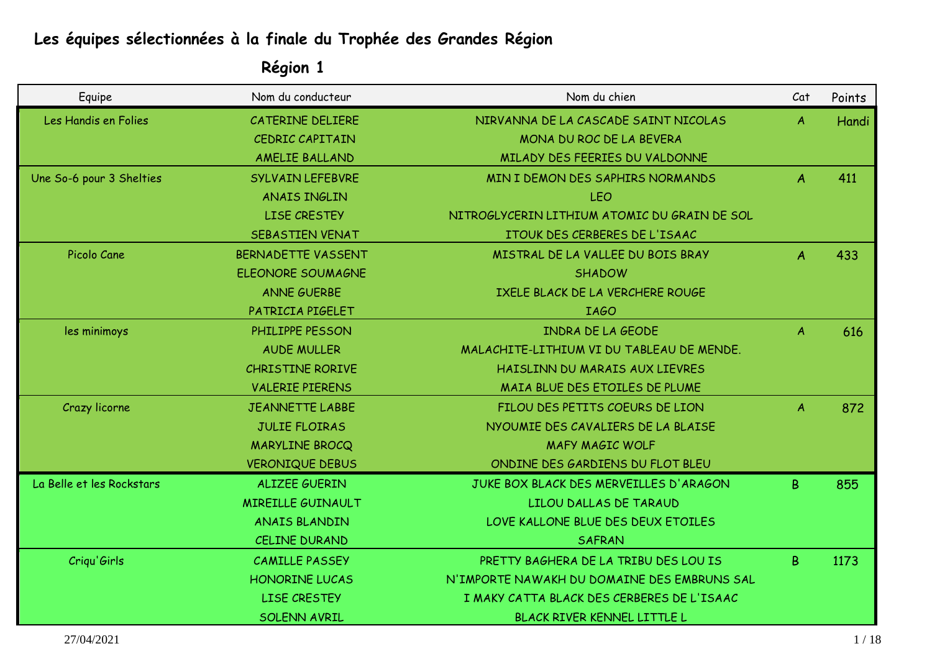# **Les équipes sélectionnées à la finale du Trophée des Grandes Région**

| Equipe                    | Nom du conducteur         | Nom du chien                                 | Cat           | Points |
|---------------------------|---------------------------|----------------------------------------------|---------------|--------|
| Les Handis en Folies      | CATERINE DELIERE          | NIRVANNA DE LA CASCADE SAINT NICOLAS         | A             | Handi  |
|                           | <b>CEDRIC CAPITAIN</b>    | MONA DU ROC DE LA BEVERA                     |               |        |
|                           | <b>AMELIE BALLAND</b>     | MILADY DES FEERIES DU VALDONNE               |               |        |
| Une So-6 pour 3 Shelties  | <b>SYLVAIN LEFEBVRE</b>   | MIN I DEMON DES SAPHIRS NORMANDS             | A             | 411    |
|                           | <b>ANAIS INGLIN</b>       | LEO                                          |               |        |
|                           | <b>LISE CRESTEY</b>       | NITROGLYCERIN LITHIUM ATOMIC DU GRAIN DE SOL |               |        |
|                           | SEBASTIEN VENAT           | ITOUK DES CERBERES DE L'ISAAC                |               |        |
| Picolo Cane               | <b>BERNADETTE VASSENT</b> | MISTRAL DE LA VALLEE DU BOIS BRAY            | A             | 433    |
|                           | <b>ELEONORE SOUMAGNE</b>  | <b>SHADOW</b>                                |               |        |
|                           | <b>ANNE GUERBE</b>        | IXELE BLACK DE LA VERCHERE ROUGE             |               |        |
|                           | PATRICIA PIGELET          | <b>IAGO</b>                                  |               |        |
| les minimoys              | PHILIPPE PESSON           | <b>INDRA DE LA GEODE</b>                     | A             | 616    |
|                           | <b>AUDE MULLER</b>        | MALACHITE-LITHIUM VI DU TABLEAU DE MENDE.    |               |        |
|                           | <b>CHRISTINE RORIVE</b>   | HAISLINN DU MARAIS AUX LIEVRES               |               |        |
|                           | <b>VALERIE PIERENS</b>    | MAIA BLUE DES ETOILES DE PLUME               |               |        |
| Crazy licorne             | <b>JEANNETTE LABBE</b>    | FILOU DES PETITS COEURS DE LION              | $\mathcal{A}$ | 872    |
|                           | <b>JULIE FLOIRAS</b>      | NYOUMIE DES CAVALIERS DE LA BLAISE           |               |        |
|                           | <b>MARYLINE BROCQ</b>     | <b>MAFY MAGIC WOLF</b>                       |               |        |
|                           | <b>VERONIQUE DEBUS</b>    | ONDINE DES GARDIENS DU FLOT BLEU             |               |        |
| La Belle et les Rockstars | <b>ALIZEE GUERIN</b>      | JUKE BOX BLACK DES MERVEILLES D'ARAGON       | B.            | 855    |
|                           | <b>MIREILLE GUINAULT</b>  | LILOU DALLAS DE TARAUD                       |               |        |
|                           | <b>ANAIS BLANDIN</b>      | LOVE KALLONE BLUE DES DEUX ETOILES           |               |        |
|                           | <b>CELINE DURAND</b>      | <b>SAFRAN</b>                                |               |        |
| Criqu'Girls               | <b>CAMILLE PASSEY</b>     | PRETTY BAGHERA DE LA TRIBU DES LOU IS        | B.            | 1173   |
|                           | <b>HONORINE LUCAS</b>     | N'IMPORTE NAWAKH DU DOMAINE DES EMBRUNS SAL  |               |        |
|                           | <b>LISE CRESTEY</b>       | I MAKY CATTA BLACK DES CERBERES DE L'ISAAC   |               |        |
|                           | <b>SOLENN AVRIL</b>       | BLACK RIVER KENNEL LITTLE L                  |               |        |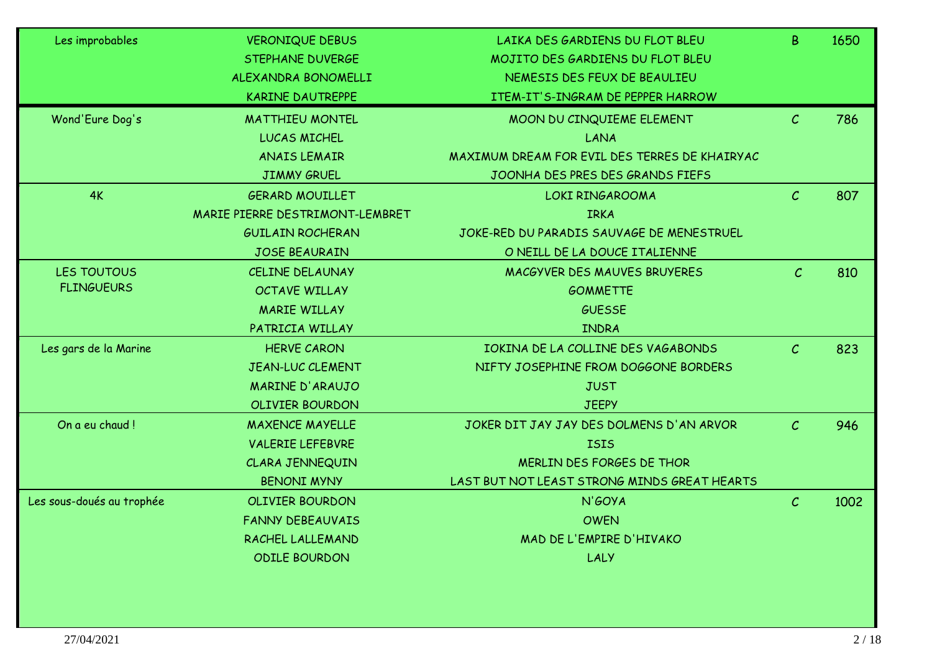| Les improbables           | <b>VERONIQUE DEBUS</b>          | LAIKA DES GARDIENS DU FLOT BLEU               | B             | 1650 |
|---------------------------|---------------------------------|-----------------------------------------------|---------------|------|
|                           | STEPHANE DUVERGE                | MOJITO DES GARDIENS DU FLOT BLEU              |               |      |
|                           | ALEXANDRA BONOMELLI             | NEMESIS DES FEUX DE BEAULIEU                  |               |      |
|                           | <b>KARINE DAUTREPPE</b>         | ITEM-IT'S-INGRAM DE PEPPER HARROW             |               |      |
| Wond'Eure Dog's           | <b>MATTHIEU MONTEL</b>          | MOON DU CINQUIEME ELEMENT                     | $\mathcal{C}$ | 786  |
|                           | <b>LUCAS MICHEL</b>             | LANA                                          |               |      |
|                           | <b>ANAIS LEMAIR</b>             | MAXIMUM DREAM FOR EVIL DES TERRES DE KHAIRYAC |               |      |
|                           | <b>JIMMY GRUEL</b>              | JOONHA DES PRES DES GRANDS FIEFS              |               |      |
| 4K                        | <b>GERARD MOUILLET</b>          | LOKI RINGAROOMA                               | $\mathcal{C}$ | 807  |
|                           | MARIE PIERRE DESTRIMONT-LEMBRET | <b>IRKA</b>                                   |               |      |
|                           | <b>GUILAIN ROCHERAN</b>         | JOKE-RED DU PARADIS SAUVAGE DE MENESTRUEL     |               |      |
|                           | <b>JOSE BEAURAIN</b>            | O NEILL DE LA DOUCE ITALIENNE                 |               |      |
| LES TOUTOUS               | <b>CELINE DELAUNAY</b>          | MACGYVER DES MAUVES BRUYERES                  | $\mathcal{C}$ | 810  |
| <b>FLINGUEURS</b>         | OCTAVE WILLAY                   | <b>GOMMETTE</b>                               |               |      |
|                           | <b>MARIE WILLAY</b>             | <b>GUESSE</b>                                 |               |      |
|                           | PATRICIA WILLAY                 | <b>INDRA</b>                                  |               |      |
| Les gars de la Marine     | <b>HERVE CARON</b>              | IOKINA DE LA COLLINE DES VAGABONDS            | $\mathcal{C}$ | 823  |
|                           | <b>JEAN-LUC CLEMENT</b>         | NIFTY JOSEPHINE FROM DOGGONE BORDERS          |               |      |
|                           | <b>MARINE D'ARAUJO</b>          | <b>JUST</b>                                   |               |      |
|                           | <b>OLIVIER BOURDON</b>          | <b>JEEPY</b>                                  |               |      |
| On a eu chaud!            | <b>MAXENCE MAYELLE</b>          | JOKER DIT JAY JAY DES DOLMENS D'AN ARVOR      | $\mathcal{C}$ | 946  |
|                           | <b>VALERIE LEFEBVRE</b>         | <b>ISIS</b>                                   |               |      |
|                           | CLARA JENNEQUIN                 | MERLIN DES FORGES DE THOR                     |               |      |
|                           | <b>BENONI MYNY</b>              | LAST BUT NOT LEAST STRONG MINDS GREAT HEARTS  |               |      |
| Les sous-doués au trophée | <b>OLIVIER BOURDON</b>          | N'GOYA                                        | $\mathcal{C}$ | 1002 |
|                           | <b>FANNY DEBEAUVAIS</b>         | <b>OWEN</b>                                   |               |      |
|                           | RACHEL LALLEMAND                | MAD DE L'EMPIRE D'HIVAKO                      |               |      |
|                           | <b>ODILE BOURDON</b>            | LALY                                          |               |      |
|                           |                                 |                                               |               |      |
|                           |                                 |                                               |               |      |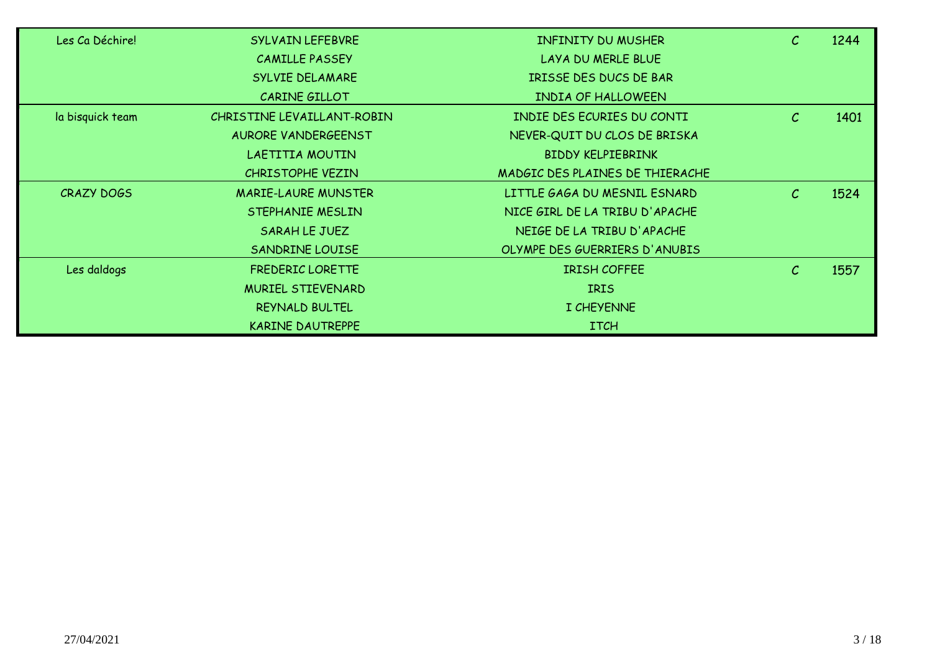| Les Ca Déchire!  | SYLVAIN LEFEBVRE           | <b>INFINITY DU MUSHER</b>       | $\mathcal{C}$ | 1244 |
|------------------|----------------------------|---------------------------------|---------------|------|
|                  | <b>CAMILLE PASSEY</b>      | LAYA DU MERLE BLUE              |               |      |
|                  | SYLVIE DELAMARE            | IRISSE DES DUCS DE BAR          |               |      |
|                  | CARINE GILLOT              | INDIA OF HALLOWEEN              |               |      |
| la bisquick team | CHRISTINE LEVAILLANT-ROBIN | INDIE DES ECURIES DU CONTI      | $\mathcal{C}$ | 1401 |
|                  | AURORE VANDERGEENST        | NEVER-QUIT DU CLOS DE BRISKA    |               |      |
|                  | LAETITIA MOUTIN            | <b>BIDDY KELPIEBRINK</b>        |               |      |
|                  | CHRISTOPHE VEZIN           | MADGIC DES PLAINES DE THIERACHE |               |      |
| CRAZY DOGS       | <b>MARIE-LAURE MUNSTER</b> | LITTLE GAGA DU MESNIL ESNARD    | $\mathcal{C}$ | 1524 |
|                  | STEPHANIE MESLIN           | NICE GIRL DE LA TRIBU D'APACHE  |               |      |
|                  | SARAH LE JUEZ              | NEIGE DE LA TRIBU D'APACHE      |               |      |
|                  | SANDRINE LOUISE            | OLYMPE DES GUERRIERS D'ANUBIS   |               |      |
| Les daldogs      | FREDERIC LORETTE           | <b>IRISH COFFEE</b>             | $\mathcal{C}$ | 1557 |
|                  | <b>MURIEL STIEVENARD</b>   | <b>IRIS</b>                     |               |      |
|                  | REYNALD BULTEL             | I CHEYENNE                      |               |      |
|                  | <b>KARINE DAUTREPPE</b>    | <b>ITCH</b>                     |               |      |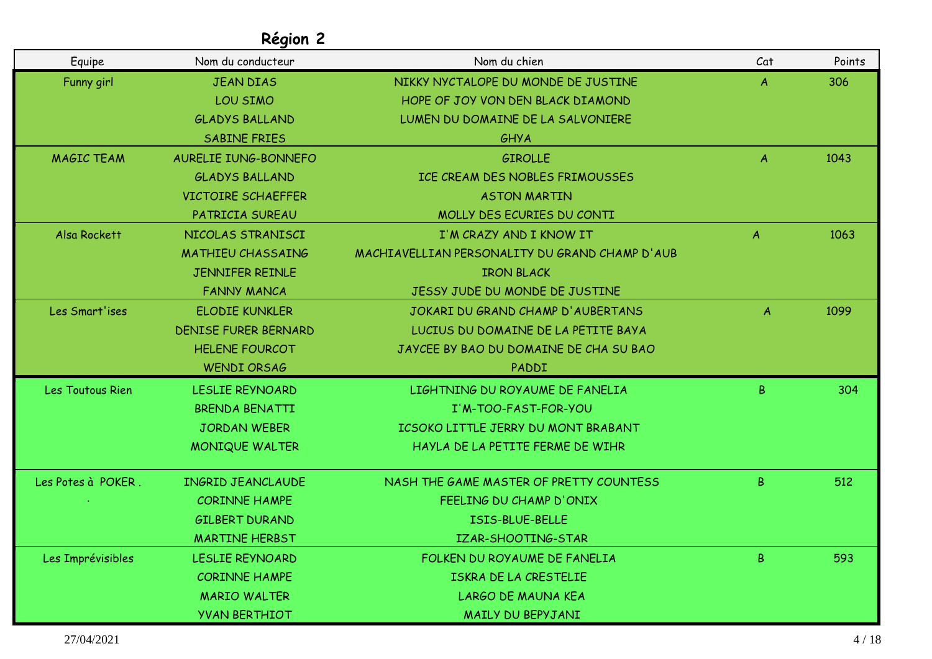| Equipe             | Nom du conducteur           | Nom du chien                                   | Cat              | Points |
|--------------------|-----------------------------|------------------------------------------------|------------------|--------|
| Funny girl         | <b>JEAN DIAS</b>            | NIKKY NYCTALOPE DU MONDE DE JUSTINE            | A                | 306    |
|                    | LOU SIMO                    | HOPE OF JOY VON DEN BLACK DIAMOND              |                  |        |
|                    | <b>GLADYS BALLAND</b>       | LUMEN DU DOMAINE DE LA SALVONIERE              |                  |        |
|                    | <b>SABINE FRIES</b>         | GHYA                                           |                  |        |
| <b>MAGIC TEAM</b>  | AURELIE IUNG-BONNEFO        | <b>GIROLLE</b>                                 | A                | 1043   |
|                    | <b>GLADYS BALLAND</b>       | ICE CREAM DES NOBLES FRIMOUSSES                |                  |        |
|                    | <b>VICTOIRE SCHAEFFER</b>   | <b>ASTON MARTIN</b>                            |                  |        |
|                    | PATRICIA SUREAU             | MOLLY DES ECURIES DU CONTI                     |                  |        |
| Alsa Rockett       | NICOLAS STRANISCI           | I'M CRAZY AND I KNOW IT                        | $\mathcal{A}$    | 1063   |
|                    | <b>MATHIEU CHASSAING</b>    | MACHIAVELLIAN PERSONALITY DU GRAND CHAMP D'AUB |                  |        |
|                    | JENNIFER REINLE             | <b>IRON BLACK</b>                              |                  |        |
|                    | <b>FANNY MANCA</b>          | JESSY JUDE DU MONDE DE JUSTINE                 |                  |        |
| Les Smart'ises     | <b>ELODIE KUNKLER</b>       | JOKARI DU GRAND CHAMP D'AUBERTANS              | $\boldsymbol{A}$ | 1099   |
|                    | <b>DENISE FURER BERNARD</b> | LUCIUS DU DOMAINE DE LA PETITE BAYA            |                  |        |
|                    | <b>HELENE FOURCOT</b>       | JAYCEE BY BAO DU DOMAINE DE CHA SU BAO         |                  |        |
|                    | <b>WENDI ORSAG</b>          | PADDI                                          |                  |        |
| Les Toutous Rien   | LESLIE REYNOARD             | LIGHTNING DU ROYAUME DE FANELIA                | B                | 304    |
|                    | BRENDA BENATTI              | I'M-TOO-FAST-FOR-YOU                           |                  |        |
|                    | <b>JORDAN WEBER</b>         | ICSOKO LITTLE JERRY DU MONT BRABANT            |                  |        |
|                    | <b>MONIQUE WALTER</b>       | HAYLA DE LA PETITE FERME DE WIHR               |                  |        |
| Les Potes à POKER. | <b>INGRID JEANCLAUDE</b>    | NASH THE GAME MASTER OF PRETTY COUNTESS        | B                | 512    |
|                    | <b>CORINNE HAMPE</b>        | FEELING DU CHAMP D'ONIX                        |                  |        |
|                    | <b>GILBERT DURAND</b>       | ISIS-BLUE-BELLE                                |                  |        |
|                    | <b>MARTINE HERBST</b>       | IZAR-SHOOTING-STAR                             |                  |        |
| Les Imprévisibles  | LESLIE REYNOARD             | FOLKEN DU ROYAUME DE FANELIA                   | B                | 593    |
|                    | <b>CORINNE HAMPE</b>        | ISKRA DE LA CRESTELIE                          |                  |        |
|                    | <b>MARIO WALTER</b>         | <b>LARGO DE MAUNA KEA</b>                      |                  |        |
|                    | <b>YVAN BERTHIOT</b>        | MAILY DU BEPYJANI                              |                  |        |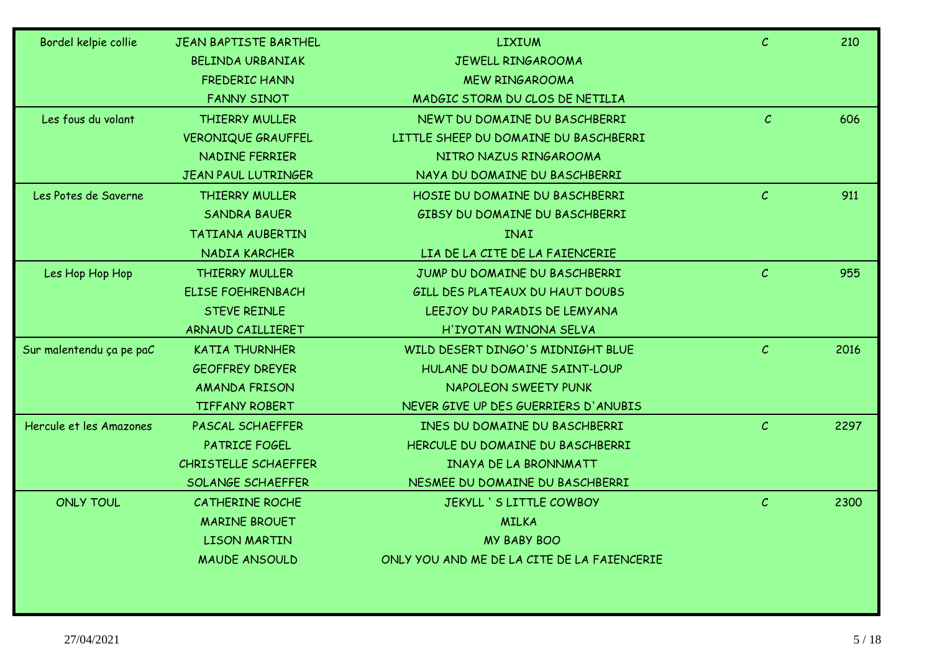| Bordel kelpie collie     | JEAN BAPTISTE BARTHEL      | <b>LIXIUM</b>                               | $\mathcal{C}$ | 210  |
|--------------------------|----------------------------|---------------------------------------------|---------------|------|
|                          | <b>BELINDA URBANIAK</b>    | JEWELL RINGAROOMA                           |               |      |
|                          | <b>FREDERIC HANN</b>       | <b>MEW RINGAROOMA</b>                       |               |      |
|                          | <b>FANNY SINOT</b>         | MADGIC STORM DU CLOS DE NETILIA             |               |      |
| Les fous du volant       | <b>THIERRY MULLER</b>      | NEWT DU DOMAINE DU BASCHBERRI               | $\mathcal{C}$ | 606  |
|                          | <b>VERONIQUE GRAUFFEL</b>  | LITTLE SHEEP DU DOMAINE DU BASCHBERRI       |               |      |
|                          | <b>NADINE FERRIER</b>      | NITRO NAZUS RINGAROOMA                      |               |      |
|                          | <b>JEAN PAUL LUTRINGER</b> | NAYA DU DOMAINE DU BASCHBERRI               |               |      |
| Les Potes de Saverne     | THIERRY MULLER             | HOSIE DU DOMAINE DU BASCHBERRI              | $\mathcal{C}$ | 911  |
|                          | <b>SANDRA BAUER</b>        | GIBSY DU DOMAINE DU BASCHBERRI              |               |      |
|                          | <b>TATIANA AUBERTIN</b>    | <b>INAI</b>                                 |               |      |
|                          | NADIA KARCHER              | LIA DE LA CITE DE LA FAIENCERIE             |               |      |
| Les Hop Hop Hop          | THIERRY MULLER             | JUMP DU DOMAINE DU BASCHBERRI               | $\mathcal{C}$ | 955  |
|                          | <b>ELISE FOEHRENBACH</b>   | GILL DES PLATEAUX DU HAUT DOUBS             |               |      |
|                          | <b>STEVE REINLE</b>        | LEEJOY DU PARADIS DE LEMYANA                |               |      |
|                          | ARNAUD CAILLIERET          | H'IYOTAN WINONA SELVA                       |               |      |
| Sur malentendu ça pe paC | <b>KATIA THURNHER</b>      | WILD DESERT DINGO'S MIDNIGHT BLUE           | $\mathcal{C}$ | 2016 |
|                          | <b>GEOFFREY DREYER</b>     | HULANE DU DOMAINE SAINT-LOUP                |               |      |
|                          | <b>AMANDA FRISON</b>       | <b>NAPOLEON SWEETY PUNK</b>                 |               |      |
|                          | <b>TIFFANY ROBERT</b>      | NEVER GIVE UP DES GUERRIERS D'ANUBIS        |               |      |
| Hercule et les Amazones  | <b>PASCAL SCHAEFFER</b>    | INES DU DOMAINE DU BASCHBERRI               | $\mathcal{C}$ | 2297 |
|                          | PATRICE FOGEL              | HERCULE DU DOMAINE DU BASCHBERRI            |               |      |
|                          | CHRISTELLE SCHAEFFER       | <b>INAYA DE LA BRONNMATT</b>                |               |      |
|                          | SOLANGE SCHAEFFER          | NESMEE DU DOMAINE DU BASCHBERRI             |               |      |
| <b>ONLY TOUL</b>         | <b>CATHERINE ROCHE</b>     | JEKYLL ' S LITTLE COWBOY                    | $\mathcal{C}$ | 2300 |
|                          | <b>MARINE BROUET</b>       | <b>MILKA</b>                                |               |      |
|                          | <b>LISON MARTIN</b>        | <b>MY BABY BOO</b>                          |               |      |
|                          | <b>MAUDE ANSOULD</b>       | ONLY YOU AND ME DE LA CITE DE LA FAIENCERIE |               |      |
|                          |                            |                                             |               |      |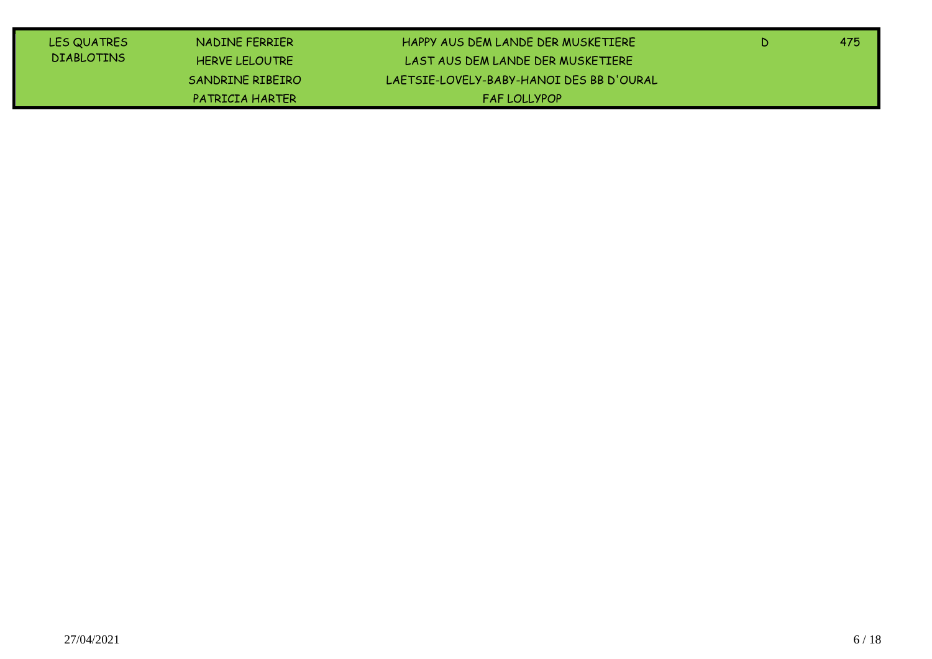| LES QUATRES       | NADINE FERRIER        | HAPPY AUS DEM LANDE DER MUSKETIERE       | -475 |
|-------------------|-----------------------|------------------------------------------|------|
| <b>DIABLOTINS</b> | <b>HERVE LELOUTRE</b> | LAST AUS DEM LANDE DER MUSKETIERE        |      |
|                   | SANDRINE RIBEIRO      | LAFTSIF-LOVFLY-BABY-HANOI DES BB D'OURAL |      |
|                   | PATRICIA HARTER       | <b>FAFIOLLYPOP</b>                       |      |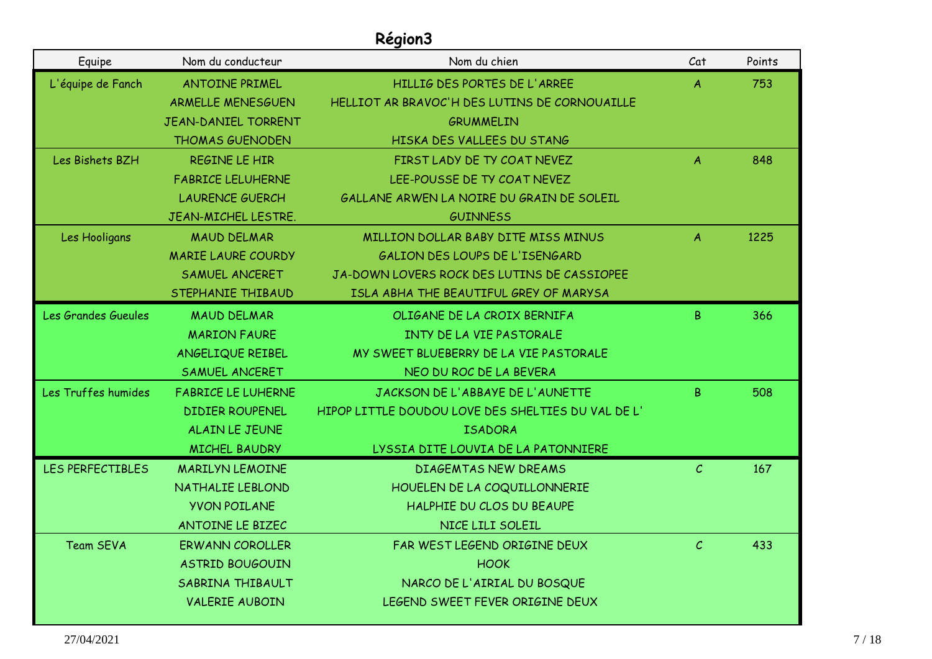| Equipe              | Nom du conducteur          | Nom du chien                                       | Cat            | Points |
|---------------------|----------------------------|----------------------------------------------------|----------------|--------|
| L'équipe de Fanch   | <b>ANTOINE PRIMEL</b>      | HILLIG DES PORTES DE L'ARREE                       | $\overline{A}$ | 753    |
|                     | <b>ARMELLE MENESGUEN</b>   | HELLIOT AR BRAVOC'H DES LUTINS DE CORNOUAILLE      |                |        |
|                     | <b>JEAN-DANIEL TORRENT</b> | <b>GRUMMELIN</b>                                   |                |        |
|                     | <b>THOMAS GUENODEN</b>     | HISKA DES VALLEES DU STANG                         |                |        |
| Les Bishets BZH     | REGINE LE HIR              | FIRST LADY DE TY COAT NEVEZ                        | $\mathsf{A}$   | 848    |
|                     | <b>FABRICE LELUHERNE</b>   | LEE-POUSSE DE TY COAT NEVEZ                        |                |        |
|                     | <b>LAURENCE GUERCH</b>     | GALLANE ARWEN LA NOIRE DU GRAIN DE SOLEIL          |                |        |
|                     | JEAN-MICHEL LESTRE.        | <b>GUINNESS</b>                                    |                |        |
| Les Hooligans       | <b>MAUD DELMAR</b>         | MILLION DOLLAR BABY DITE MISS MINUS                | $\mathcal{A}$  | 1225   |
|                     | <b>MARIE LAURE COURDY</b>  | GALION DES LOUPS DE L'ISENGARD                     |                |        |
|                     | SAMUEL ANCERET             | JA-DOWN LOVERS ROCK DES LUTINS DE CASSIOPEE        |                |        |
|                     | STEPHANIE THIBAUD          | ISLA ABHA THE BEAUTIFUL GREY OF MARYSA             |                |        |
| Les Grandes Gueules | <b>MAUD DELMAR</b>         | OLIGANE DE LA CROIX BERNIFA                        | B.             | 366    |
|                     | <b>MARION FAURE</b>        | INTY DE LA VIE PASTORALE                           |                |        |
|                     | ANGELIQUE REIBEL           | MY SWEET BLUEBERRY DE LA VIE PASTORALE             |                |        |
|                     | SAMUEL ANCERET             | NEO DU ROC DE LA BEVERA                            |                |        |
| Les Truffes humides | <b>FABRICE LE LUHERNE</b>  | JACKSON DE L'ABBAYE DE L'AUNETTE                   | B.             | 508    |
|                     | <b>DIDIER ROUPENEL</b>     | HIPOP LITTLE DOUDOU LOVE DES SHELTIES DU VAL DE L' |                |        |
|                     | ALAIN LE JEUNE             | <b>ISADORA</b>                                     |                |        |
|                     | <b>MICHEL BAUDRY</b>       | LYSSIA DITE LOUVIA DE LA PATONNIERE                |                |        |
| LES PERFECTIBLES    | <b>MARILYN LEMOINE</b>     | <b>DIAGEMTAS NEW DREAMS</b>                        | $\mathcal{C}$  | 167    |
|                     | NATHALIE LEBLOND           | HOUELEN DE LA COQUILLONNERIE                       |                |        |
|                     | <b>YVON POILANE</b>        | HALPHIE DU CLOS DU BEAUPE                          |                |        |
|                     | ANTOINE LE BIZEC           | NICE LILI SOLEIL                                   |                |        |
| <b>Team SEVA</b>    | <b>ERWANN COROLLER</b>     | FAR WEST LEGEND ORIGINE DEUX                       | $\mathcal{C}$  | 433    |
|                     | <b>ASTRID BOUGOUIN</b>     | <b>HOOK</b>                                        |                |        |
|                     | SABRINA THIBAULT           | NARCO DE L'AIRIAL DU BOSQUE                        |                |        |
|                     | <b>VALERIE AUBOIN</b>      | LEGEND SWEET FEVER ORIGINE DEUX                    |                |        |
|                     |                            |                                                    |                |        |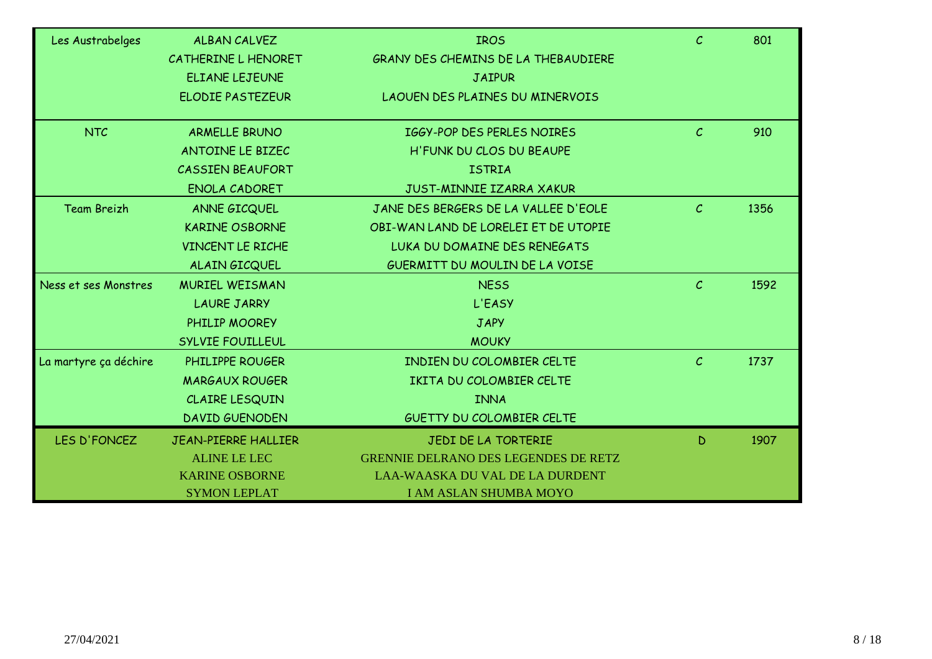| Les Austrabelges      | <b>ALBAN CALVEZ</b>        | <b>IROS</b>                                 | $\mathcal{C}$ | 801  |
|-----------------------|----------------------------|---------------------------------------------|---------------|------|
|                       | CATHERINE L HENORET        | GRANY DES CHEMINS DE LA THEBAUDIERE         |               |      |
|                       | <b>ELIANE LEJEUNE</b>      | <b>JAIPUR</b>                               |               |      |
|                       | <b>ELODIE PASTEZEUR</b>    | LAOUEN DES PLAINES DU MINERVOIS             |               |      |
| <b>NTC</b>            | <b>ARMELLE BRUNO</b>       | IGGY-POP DES PERLES NOIRES                  | $\mathcal{C}$ | 910  |
|                       | ANTOINE LE BIZEC           | H'FUNK DU CLOS DU BEAUPE                    |               |      |
|                       | <b>CASSIEN BEAUFORT</b>    | <b>ISTRIA</b>                               |               |      |
|                       | ENOLA CADORET              | JUST-MINNIE IZARRA XAKUR                    |               |      |
| <b>Team Breizh</b>    | ANNE GICQUEL               | JANE DES BERGERS DE LA VALLEE D'EOLE        | $\mathcal{C}$ | 1356 |
|                       | <b>KARINE OSBORNE</b>      | OBI-WAN LAND DE LORELEI ET DE UTOPIE        |               |      |
|                       | VINCENT LE RICHE           | LUKA DU DOMAINE DES RENEGATS                |               |      |
|                       | ALAIN GICQUEL              | GUERMITT DU MOULIN DE LA VOISE              |               |      |
| Ness et ses Monstres  | <b>MURIEL WEISMAN</b>      | <b>NESS</b>                                 | $\mathcal{C}$ | 1592 |
|                       | <b>LAURE JARRY</b>         | L'EASY                                      |               |      |
|                       | PHILIP MOOREY              | <b>JAPY</b>                                 |               |      |
|                       | SYLVIE FOUILLEUL           | <b>MOUKY</b>                                |               |      |
| La martyre ça déchire | PHILIPPE ROUGER            | <b>INDIEN DU COLOMBIER CELTE</b>            | $\mathcal{C}$ | 1737 |
|                       | <b>MARGAUX ROUGER</b>      | IKITA DU COLOMBIER CELTE                    |               |      |
|                       | CLAIRE LESQUIN             | <b>INNA</b>                                 |               |      |
|                       | <b>DAVID GUENODEN</b>      | <b>GUETTY DU COLOMBIER CELTE</b>            |               |      |
| LES D'FONCEZ          | <b>JEAN-PIERRE HALLIER</b> | JEDI DE LA TORTERIE                         | D             | 1907 |
|                       | <b>ALINE LE LEC</b>        | <b>GRENNIE DELRANO DES LEGENDES DE RETZ</b> |               |      |
|                       | <b>KARINE OSBORNE</b>      | <b>LAA-WAASKA DU VAL DE LA DURDENT</b>      |               |      |
|                       | <b>SYMON LEPLAT</b>        | <b>I AM ASLAN SHUMBA MOYO</b>               |               |      |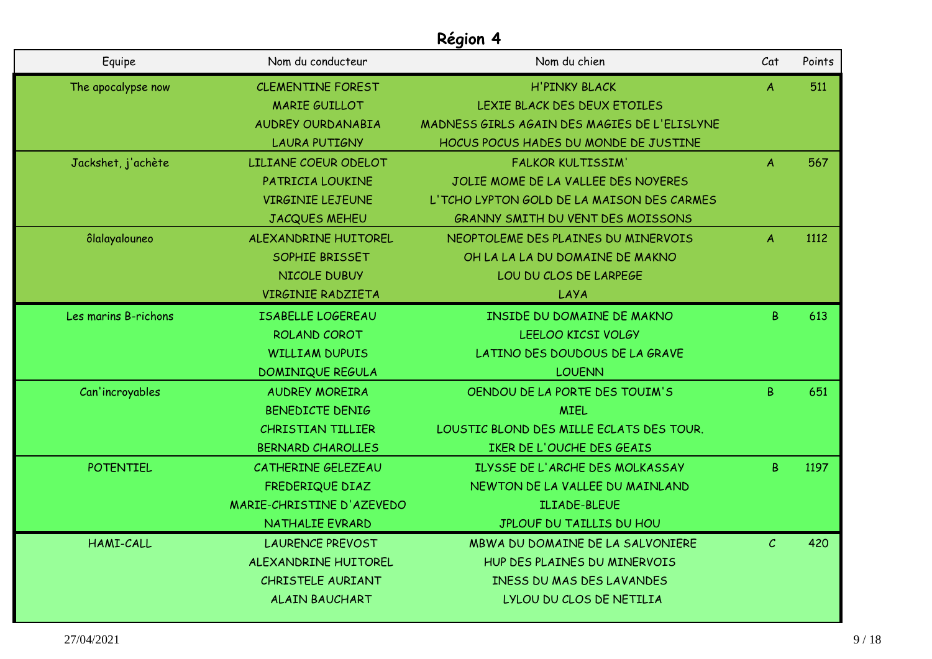| Equipe               | Nom du conducteur         | Nom du chien                                 | Cat              | Points |
|----------------------|---------------------------|----------------------------------------------|------------------|--------|
| The apocalypse now   | <b>CLEMENTINE FOREST</b>  | <b>H'PINKY BLACK</b>                         | $\boldsymbol{A}$ | 511    |
|                      | <b>MARIE GUILLOT</b>      | LEXIE BLACK DES DEUX ETOILES                 |                  |        |
|                      | <b>AUDREY OURDANABIA</b>  | MADNESS GIRLS AGAIN DES MAGIES DE L'ELISLYNE |                  |        |
|                      | <b>LAURA PUTIGNY</b>      | HOCUS POCUS HADES DU MONDE DE JUSTINE        |                  |        |
| Jackshet, j'achète   | LILIANE COEUR ODELOT      | <b>FALKOR KULTISSIM'</b>                     | $\boldsymbol{A}$ | 567    |
|                      | PATRICIA LOUKINE          | JOLIE MOME DE LA VALLEE DES NOYERES          |                  |        |
|                      | <b>VIRGINIE LEJEUNE</b>   | L'TCHO LYPTON GOLD DE LA MAISON DES CARMES   |                  |        |
|                      | JACQUES MEHEU             | <b>GRANNY SMITH DU VENT DES MOISSONS</b>     |                  |        |
| ôlalayalouneo        | ALEXANDRINE HUITOREL      | NEOPTOLEME DES PLAINES DU MINERVOIS          | A                | 1112   |
|                      | SOPHIE BRISSET            | OH LA LA LA DU DOMAINE DE MAKNO              |                  |        |
|                      | <b>NICOLE DUBUY</b>       | LOU DU CLOS DE LARPEGE                       |                  |        |
|                      | <b>VIRGINIE RADZIETA</b>  | LAYA                                         |                  |        |
| Les marins B-richons | <b>ISABELLE LOGEREAU</b>  | <b>INSIDE DU DOMAINE DE MAKNO</b>            | B.               | 613    |
|                      | ROLAND COROT              | LEELOO KICSI VOLGY                           |                  |        |
|                      | <b>WILLIAM DUPUIS</b>     | LATINO DES DOUDOUS DE LA GRAVE               |                  |        |
|                      | <b>DOMINIQUE REGULA</b>   | <b>LOUENN</b>                                |                  |        |
| Can'incroyables      | <b>AUDREY MOREIRA</b>     | OENDOU DE LA PORTE DES TOUIM'S               | B.               | 651    |
|                      | BENEDICTE DENIG           | <b>MIEL</b>                                  |                  |        |
|                      | CHRISTIAN TILLIER         | LOUSTIC BLOND DES MILLE ECLATS DES TOUR.     |                  |        |
|                      | <b>BERNARD CHAROLLES</b>  | IKER DE L'OUCHE DES GEAIS                    |                  |        |
| <b>POTENTIEL</b>     | CATHERINE GELEZEAU        | ILYSSE DE L'ARCHE DES MOLKASSAY              | B.               | 1197   |
|                      | FREDERIQUE DIAZ           | NEWTON DE LA VALLEE DU MAINLAND              |                  |        |
|                      | MARIE-CHRISTINE D'AZEVEDO | <b>ILIADE-BLEUE</b>                          |                  |        |
|                      | NATHALIE EVRARD           | JPLOUF DU TAILLIS DU HOU                     |                  |        |
| <b>HAMI-CALL</b>     | <b>LAURENCE PREVOST</b>   | MBWA DU DOMAINE DE LA SALVONIERE             | C                | 420    |
|                      | ALEXANDRINE HUITOREL      | HUP DES PLAINES DU MINERVOIS                 |                  |        |
|                      | CHRISTELE AURIANT         | <b>INESS DU MAS DES LAVANDES</b>             |                  |        |
|                      | <b>ALAIN BAUCHART</b>     | LYLOU DU CLOS DE NETILIA                     |                  |        |
|                      |                           |                                              |                  |        |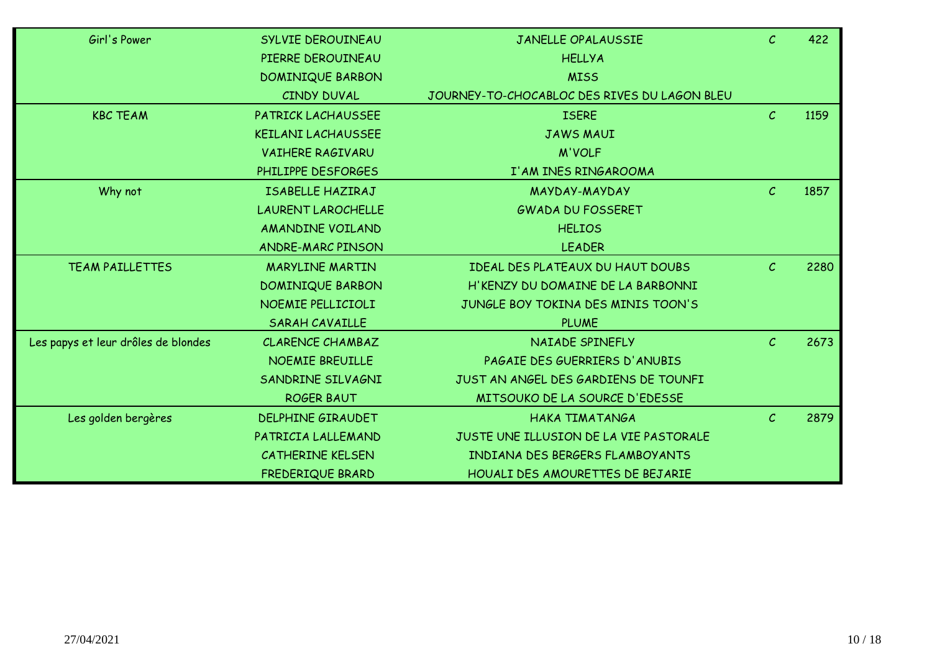| Girl's Power                        | SYLVIE DEROUINEAU         | JANELLE OPALAUSSIE                           | $\mathcal{C}$ | 422  |
|-------------------------------------|---------------------------|----------------------------------------------|---------------|------|
|                                     | PIERRE DEROUINEAU         | <b>HELLYA</b>                                |               |      |
|                                     | <b>DOMINIQUE BARBON</b>   | <b>MISS</b>                                  |               |      |
|                                     | CINDY DUVAL               | JOURNEY-TO-CHOCABLOC DES RIVES DU LAGON BLEU |               |      |
| <b>KBC TEAM</b>                     | PATRICK LACHAUSSEE        | <b>ISERE</b>                                 | $\mathcal{C}$ | 1159 |
|                                     | <b>KEILANI LACHAUSSEE</b> | <b>JAWS MAUI</b>                             |               |      |
|                                     | <b>VAIHERE RAGIVARU</b>   | <b>M'VOLF</b>                                |               |      |
|                                     | PHILIPPE DESFORGES        | I'AM INES RINGAROOMA                         |               |      |
| Why not                             | ISABELLE HAZIRAJ          | MAYDAY-MAYDAY                                | $\mathcal{C}$ | 1857 |
|                                     | <b>LAURENT LAROCHELLE</b> | <b>GWADA DU FOSSERET</b>                     |               |      |
|                                     | <b>AMANDINE VOILAND</b>   | <b>HELIOS</b>                                |               |      |
|                                     | <b>ANDRE-MARC PINSON</b>  | <b>LEADER</b>                                |               |      |
| TEAM PAILLETTES                     | <b>MARYLINE MARTIN</b>    | IDEAL DES PLATEAUX DU HAUT DOUBS             | $\mathcal{C}$ | 2280 |
|                                     | <b>DOMINIQUE BARBON</b>   | H'KENZY DU DOMAINE DE LA BARBONNI            |               |      |
|                                     | NOEMIE PELLICIOLI         | JUNGLE BOY TOKINA DES MINIS TOON'S           |               |      |
|                                     | <b>SARAH CAVAILLE</b>     | <b>PLUME</b>                                 |               |      |
| Les papys et leur drôles de blondes | <b>CLARENCE CHAMBAZ</b>   | NAIADE SPINEFLY                              | $\mathcal{C}$ | 2673 |
|                                     | NOEMIE BREUILLE           | PAGAIE DES GUERRIERS D'ANUBIS                |               |      |
|                                     | SANDRINE SILVAGNI         | JUST AN ANGEL DES GARDIENS DE TOUNFI         |               |      |
|                                     | <b>ROGER BAUT</b>         | MITSOUKO DE LA SOURCE D'EDESSE               |               |      |
| Les golden bergères                 | <b>DELPHINE GIRAUDET</b>  | HAKA TIMATANGA                               | $\mathcal{C}$ | 2879 |
|                                     | PATRICIA LALLEMAND        | JUSTE UNE ILLUSION DE LA VIE PASTORALE       |               |      |
|                                     | CATHERINE KELSEN          | INDIANA DES BERGERS FLAMBOYANTS              |               |      |
|                                     | FREDERIQUE BRARD          | HOUALI DES AMOURETTES DE BEJARIE             |               |      |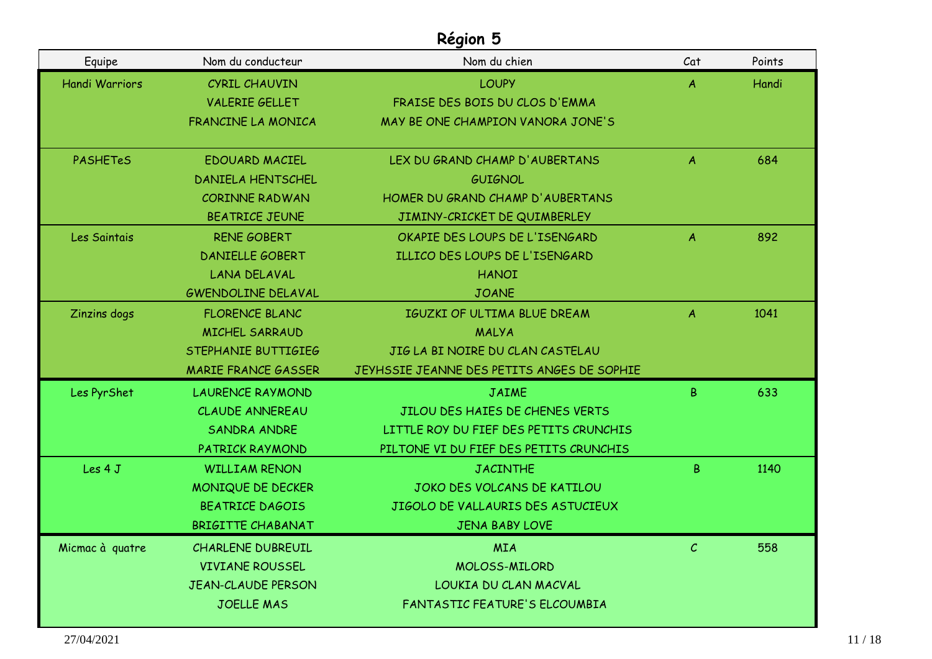| Equipe                | Nom du conducteur          | Nom du chien                               | Cat              | Points |
|-----------------------|----------------------------|--------------------------------------------|------------------|--------|
| <b>Handi Warriors</b> | CYRIL CHAUVIN              | <b>LOUPY</b>                               | $\boldsymbol{A}$ | Handi  |
|                       | <b>VALERIE GELLET</b>      | FRAISE DES BOIS DU CLOS D'EMMA             |                  |        |
|                       | FRANCINE LA MONICA         | MAY BE ONE CHAMPION VANORA JONE'S          |                  |        |
| <b>PASHETeS</b>       | EDOUARD MACIEL             | LEX DU GRAND CHAMP D'AUBERTANS             | A                | 684    |
|                       | <b>DANIELA HENTSCHEL</b>   | <b>GUIGNOL</b>                             |                  |        |
|                       | CORINNE RADWAN             | HOMER DU GRAND CHAMP D'AUBERTANS           |                  |        |
|                       | <b>BEATRICE JEUNE</b>      | JIMINY-CRICKET DE QUIMBERLEY               |                  |        |
| Les Saintais          | <b>RENE GOBERT</b>         | OKAPIE DES LOUPS DE L'ISENGARD             | A                | 892    |
|                       | <b>DANIELLE GOBERT</b>     | ILLICO DES LOUPS DE L'ISENGARD             |                  |        |
|                       | <b>LANA DELAVAL</b>        | <b>HANOI</b>                               |                  |        |
|                       | <b>GWENDOLINE DELAVAL</b>  | <b>JOANE</b>                               |                  |        |
| Zinzins dogs          | <b>FLORENCE BLANC</b>      | <b>IGUZKI OF ULTIMA BLUE DREAM</b>         | $\overline{A}$   | 1041   |
|                       | <b>MICHEL SARRAUD</b>      | MALYA                                      |                  |        |
|                       | STEPHANIE BUTTIGIEG        | JIG LA BI NOIRE DU CLAN CASTELAU           |                  |        |
|                       | <b>MARIE FRANCE GASSER</b> | JEYHSSIE JEANNE DES PETITS ANGES DE SOPHIE |                  |        |
| Les PyrShet           | <b>LAURENCE RAYMOND</b>    | <b>JAIME</b>                               | B.               | 633    |
|                       | <b>CLAUDE ANNEREAU</b>     | JILOU DES HAIES DE CHENES VERTS            |                  |        |
|                       | <b>SANDRA ANDRE</b>        | LITTLE ROY DU FIEF DES PETITS CRUNCHIS     |                  |        |
|                       | PATRICK RAYMOND            | PILTONE VI DU FIEF DES PETITS CRUNCHIS     |                  |        |
| Les 4 J               | <b>WILLIAM RENON</b>       | <b>JACINTHE</b>                            | B.               | 1140   |
|                       | MONIQUE DE DECKER          | JOKO DES VOLCANS DE KATILOU                |                  |        |
|                       | <b>BEATRICE DAGOIS</b>     | JIGOLO DE VALLAURIS DES ASTUCIEUX          |                  |        |
|                       | BRIGITTE CHABANAT          | JENA BABY LOVE                             |                  |        |
| Micmac à quatre       | <b>CHARLENE DUBREUIL</b>   | <b>MIA</b>                                 | $\mathcal{C}$    | 558    |
|                       | <b>VIVIANE ROUSSEL</b>     | MOLOSS-MILORD                              |                  |        |
|                       | <b>JEAN-CLAUDE PERSON</b>  | LOUKIA DU CLAN MACVAL                      |                  |        |
|                       | <b>JOELLE MAS</b>          | FANTASTIC FEATURE'S ELCOUMBIA              |                  |        |
|                       |                            |                                            |                  |        |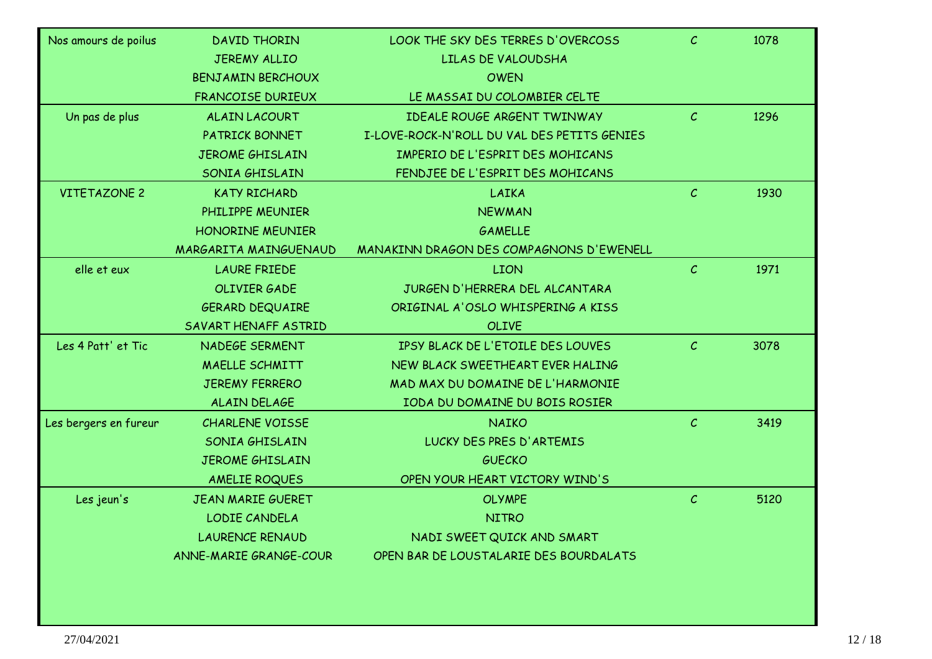| Nos amours de poilus  | <b>DAVID THORIN</b>      | LOOK THE SKY DES TERRES D'OVERCOSS          | $\mathcal{C}$ | 1078 |
|-----------------------|--------------------------|---------------------------------------------|---------------|------|
|                       | <b>JEREMY ALLIO</b>      | LILAS DE VALOUDSHA                          |               |      |
|                       | <b>BENJAMIN BERCHOUX</b> | <b>OWEN</b>                                 |               |      |
|                       | <b>FRANCOISE DURIEUX</b> | LE MASSAI DU COLOMBIER CELTE                |               |      |
| Un pas de plus        | <b>ALAIN LACOURT</b>     | IDEALE ROUGE ARGENT TWINWAY                 | $\mathcal{C}$ | 1296 |
|                       | PATRICK BONNET           | I-LOVE-ROCK-N'ROLL DU VAL DES PETITS GENIES |               |      |
|                       | <b>JEROME GHISLAIN</b>   | IMPERIO DE L'ESPRIT DES MOHICANS            |               |      |
|                       | SONIA GHISLAIN           | FENDJEE DE L'ESPRIT DES MOHICANS            |               |      |
| <b>VITETAZONE 2</b>   | <b>KATY RICHARD</b>      | LAIKA                                       | $\mathcal{C}$ | 1930 |
|                       | PHILIPPE MEUNIER         | <b>NEWMAN</b>                               |               |      |
|                       | <b>HONORINE MEUNIER</b>  | <b>GAMELLE</b>                              |               |      |
|                       | MARGARITA MAINGUENAUD    | MANAKINN DRAGON DES COMPAGNONS D'EWENELL    |               |      |
| elle et eux           | <b>LAURE FRIEDE</b>      | <b>LION</b>                                 | $\mathcal{C}$ | 1971 |
|                       | <b>OLIVIER GADE</b>      | JURGEN D'HERRERA DEL ALCANTARA              |               |      |
|                       | <b>GERARD DEQUAIRE</b>   | ORIGINAL A'OSLO WHISPERING A KISS           |               |      |
|                       | SAVART HENAFF ASTRID     | <b>OLIVE</b>                                |               |      |
| Les 4 Patt' et Tic    | NADEGE SERMENT           | IPSY BLACK DE L'ETOILE DES LOUVES           | $\mathcal{C}$ | 3078 |
|                       | <b>MAELLE SCHMITT</b>    | NEW BLACK SWEETHEART EVER HALING            |               |      |
|                       | <b>JEREMY FERRERO</b>    | MAD MAX DU DOMAINE DE L'HARMONIE            |               |      |
|                       | ALAIN DELAGE             | IODA DU DOMAINE DU BOIS ROSIER              |               |      |
| Les bergers en fureur | <b>CHARLENE VOISSE</b>   | <b>NAIKO</b>                                | $\mathcal{C}$ | 3419 |
|                       | SONIA GHISLAIN           | LUCKY DES PRES D'ARTEMIS                    |               |      |
|                       | <b>JEROME GHISLAIN</b>   | <b>GUECKO</b>                               |               |      |
|                       | AMELIE ROQUES            | OPEN YOUR HEART VICTORY WIND'S              |               |      |
| Les jeun's            | <b>JEAN MARIE GUERET</b> | <b>OLYMPE</b>                               | $\mathcal{C}$ | 5120 |
|                       | LODIE CANDELA            | <b>NITRO</b>                                |               |      |
|                       | <b>LAURENCE RENAUD</b>   | NADI SWEET QUICK AND SMART                  |               |      |
|                       | ANNE-MARIE GRANGE-COUR   | OPEN BAR DE LOUSTALARIE DES BOURDALATS      |               |      |
|                       |                          |                                             |               |      |
|                       |                          |                                             |               |      |
|                       |                          |                                             |               |      |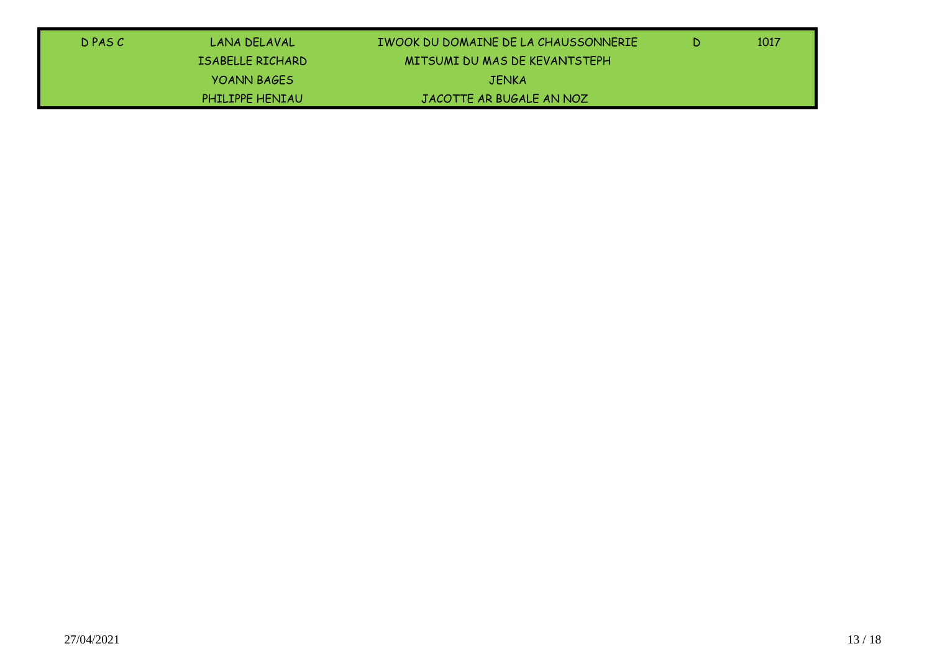| D PAS C | LANA DELAVAL           | TWOOK DU DOMAINE DE LA CHAUSSONNERIE | D. | 1017 |
|---------|------------------------|--------------------------------------|----|------|
|         | ISABELLE RICHARD       | MITSUMI DU MAS DE KEVANTSTEPH        |    |      |
|         | <b>YOANN BAGES</b>     | <b>JENKA</b>                         |    |      |
|         | <b>PHILIPPE HENIAU</b> | JACOTTE AR BUGALE AN NOZ             |    |      |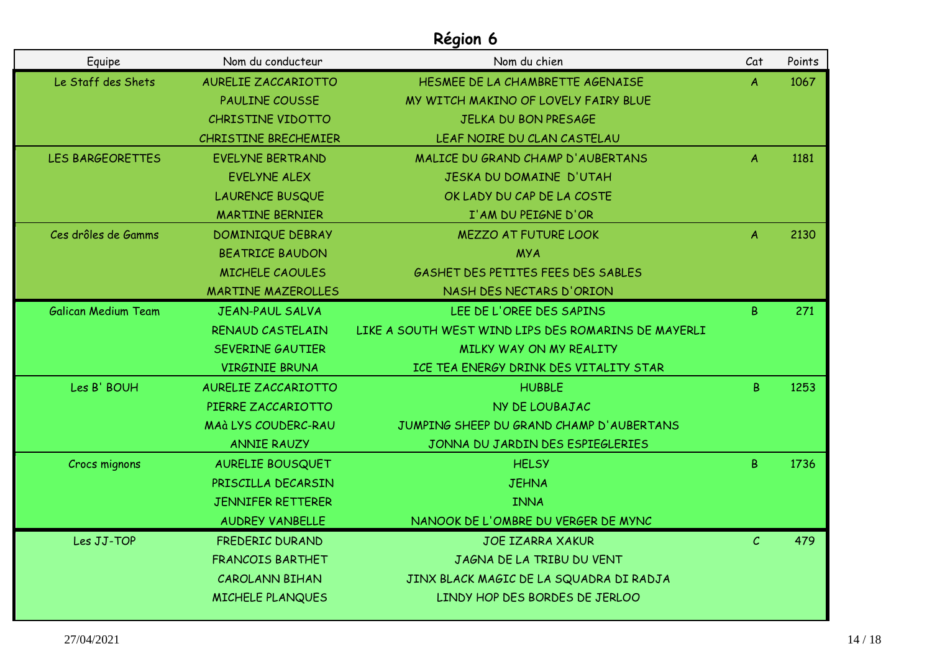| Equipe                     | Nom du conducteur          | Nom du chien                                        | Cat              | Points |
|----------------------------|----------------------------|-----------------------------------------------------|------------------|--------|
| Le Staff des Shets         | <b>AURELIE ZACCARIOTTO</b> | HESMEE DE LA CHAMBRETTE AGENAISE                    | A                | 1067   |
|                            | <b>PAULINE COUSSE</b>      | MY WITCH MAKINO OF LOVELY FAIRY BLUE                |                  |        |
|                            | CHRISTINE VIDOTTO          | <b>JELKA DU BON PRESAGE</b>                         |                  |        |
|                            | CHRISTINE BRECHEMIER       | LEAF NOIRE DU CLAN CASTELAU                         |                  |        |
| <b>LES BARGEORETTES</b>    | <b>EVELYNE BERTRAND</b>    | MALICE DU GRAND CHAMP D'AUBERTANS                   | A                | 1181   |
|                            | <b>EVELYNE ALEX</b>        | JESKA DU DOMAINE D'UTAH                             |                  |        |
|                            | <b>LAURENCE BUSQUE</b>     | OK LADY DU CAP DE LA COSTE                          |                  |        |
|                            | <b>MARTINE BERNIER</b>     | I'AM DU PEIGNE D'OR                                 |                  |        |
| Ces drôles de Gamms        | <b>DOMINIQUE DEBRAY</b>    | <b>MEZZO AT FUTURE LOOK</b>                         | $\boldsymbol{A}$ | 2130   |
|                            | <b>BEATRICE BAUDON</b>     | <b>MYA</b>                                          |                  |        |
|                            | MICHELE CAOULES            | GASHET DES PETITES FEES DES SABLES                  |                  |        |
|                            | <b>MARTINE MAZEROLLES</b>  | NASH DES NECTARS D'ORION                            |                  |        |
| <b>Galican Medium Team</b> | <b>JEAN-PAUL SALVA</b>     | LEE DE L'OREE DES SAPINS                            | B                | 271    |
|                            | RENAUD CASTELAIN           | LIKE A SOUTH WEST WIND LIPS DES ROMARINS DE MAYERLI |                  |        |
|                            | <b>SEVERINE GAUTIER</b>    | MILKY WAY ON MY REALITY                             |                  |        |
|                            | <b>VIRGINIE BRUNA</b>      | ICE TEA ENERGY DRINK DES VITALITY STAR              |                  |        |
| Les B' BOUH                | AURELIE ZACCARIOTTO        | <b>HUBBLE</b>                                       | B.               | 1253   |
|                            | PIERRE ZACCARIOTTO         | NY DE LOUBAJAC                                      |                  |        |
|                            | <b>MAÀ LYS COUDERC-RAU</b> | JUMPING SHEEP DU GRAND CHAMP D'AUBERTANS            |                  |        |
|                            | <b>ANNIE RAUZY</b>         | JONNA DU JARDIN DES ESPIEGLERIES                    |                  |        |
| Crocs mignons              | <b>AURELIE BOUSQUET</b>    | <b>HELSY</b>                                        | B                | 1736   |
|                            | PRISCILLA DECARSIN         | <b>JEHNA</b>                                        |                  |        |
|                            | JENNIFER RETTERER          | <b>INNA</b>                                         |                  |        |
|                            | <b>AUDREY VANBELLE</b>     | NANOOK DE L'OMBRE DU VERGER DE MYNC                 |                  |        |
| Les JJ-TOP                 | FREDERIC DURAND            | <b>JOE IZARRA XAKUR</b>                             | $\mathcal{C}$    | 479    |
|                            | <b>FRANCOIS BARTHET</b>    | JAGNA DE LA TRIBU DU VENT                           |                  |        |
|                            | <b>CAROLANN BIHAN</b>      | JINX BLACK MAGIC DE LA SQUADRA DI RADJA             |                  |        |
|                            | <b>MICHELE PLANQUES</b>    | LINDY HOP DES BORDES DE JERLOO                      |                  |        |
|                            |                            |                                                     |                  |        |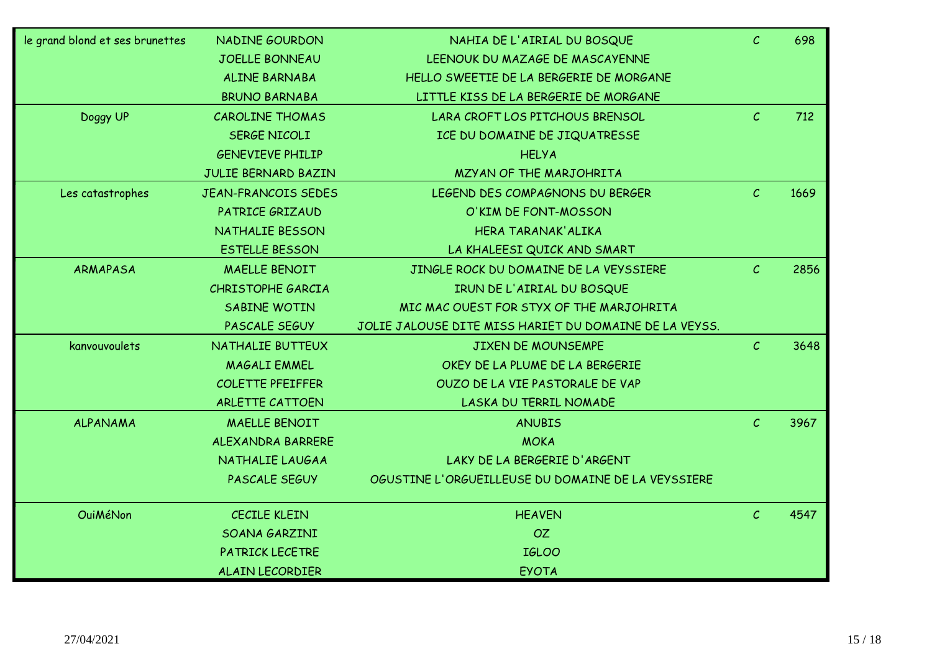| le grand blond et ses brunettes | NADINE GOURDON             | NAHIA DE L'AIRIAL DU BOSQUE                            | $\mathcal{C}$ | 698  |
|---------------------------------|----------------------------|--------------------------------------------------------|---------------|------|
|                                 | <b>JOELLE BONNEAU</b>      | LEENOUK DU MAZAGE DE MASCAYENNE                        |               |      |
|                                 | ALINE BARNABA              | HELLO SWEETIE DE LA BERGERIE DE MORGANE                |               |      |
|                                 | <b>BRUNO BARNABA</b>       | LITTLE KISS DE LA BERGERIE DE MORGANE                  |               |      |
| Doggy UP                        | <b>CAROLINE THOMAS</b>     | LARA CROFT LOS PITCHOUS BRENSOL                        | $\mathcal{C}$ | 712  |
|                                 | SERGE NICOLI               | ICE DU DOMAINE DE JIQUATRESSE                          |               |      |
|                                 | <b>GENEVIEVE PHILIP</b>    | <b>HELYA</b>                                           |               |      |
|                                 | JULIE BERNARD BAZIN        | MZYAN OF THE MARJOHRITA                                |               |      |
| Les catastrophes                | <b>JEAN-FRANCOIS SEDES</b> | LEGEND DES COMPAGNONS DU BERGER                        | $\mathcal{C}$ | 1669 |
|                                 | PATRICE GRIZAUD            | O'KIM DE FONT-MOSSON                                   |               |      |
|                                 | NATHALIE BESSON            | HERA TARANAK' ALIKA                                    |               |      |
|                                 | <b>ESTELLE BESSON</b>      | LA KHALEESI QUICK AND SMART                            |               |      |
| <b>ARMAPASA</b>                 | <b>MAELLE BENOIT</b>       | JINGLE ROCK DU DOMAINE DE LA VEYSSIERE                 | $\mathcal{C}$ | 2856 |
|                                 | CHRISTOPHE GARCIA          | IRUN DE L'AIRIAL DU BOSQUE                             |               |      |
|                                 | SABINE WOTIN               | MIC MAC OUEST FOR STYX OF THE MARJOHRITA               |               |      |
|                                 | PASCALE SEGUY              | JOLIE JALOUSE DITE MISS HARIET DU DOMAINE DE LA VEYSS. |               |      |
| kanvouvoulets                   | NATHALIE BUTTEUX           | <b>JIXEN DE MOUNSEMPE</b>                              | $\mathcal{C}$ | 3648 |
|                                 | <b>MAGALI EMMEL</b>        | OKEY DE LA PLUME DE LA BERGERIE                        |               |      |
|                                 | <b>COLETTE PFEIFFER</b>    | OUZO DE LA VIE PASTORALE DE VAP                        |               |      |
|                                 | <b>ARLETTE CATTOEN</b>     | LASKA DU TERRIL NOMADE                                 |               |      |
| <b>ALPANAMA</b>                 | <b>MAELLE BENOIT</b>       | <b>ANUBIS</b>                                          | $\mathcal{C}$ | 3967 |
|                                 | ALEXANDRA BARRERE          | <b>MOKA</b>                                            |               |      |
|                                 | NATHALIE LAUGAA            | LAKY DE LA BERGERIE D'ARGENT                           |               |      |
|                                 | PASCALE SEGUY              | OGUSTINE L'ORGUEILLEUSE DU DOMAINE DE LA VEYSSIERE     |               |      |
| <b>OuiMéNon</b>                 | <b>CECILE KLEIN</b>        | <b>HEAVEN</b>                                          | $\mathcal{C}$ | 4547 |
|                                 | SOANA GARZINI              | <b>OZ</b>                                              |               |      |
|                                 | PATRICK LECETRE            | <b>IGLOO</b>                                           |               |      |
|                                 | <b>ALAIN LECORDIER</b>     | <b>EYOTA</b>                                           |               |      |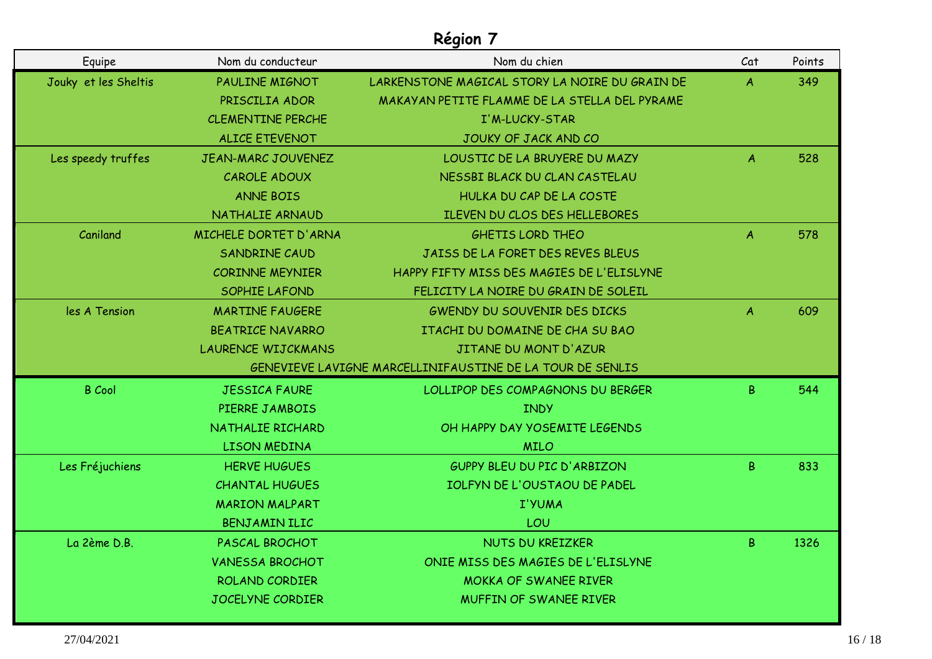| Equipe               | Nom du conducteur         | Nom du chien                                              | Cat              | Points |
|----------------------|---------------------------|-----------------------------------------------------------|------------------|--------|
| Jouky et les Sheltis | <b>PAULINE MIGNOT</b>     | LARKENSTONE MAGICAL STORY LA NOIRE DU GRAIN DE            | A                | 349    |
|                      | PRISCILIA ADOR            | MAKAYAN PETITE FLAMME DE LA STELLA DEL PYRAME             |                  |        |
|                      | <b>CLEMENTINE PERCHE</b>  | I'M-LUCKY-STAR                                            |                  |        |
|                      | <b>ALICE ETEVENOT</b>     | JOUKY OF JACK AND CO                                      |                  |        |
| Les speedy truffes   | <b>JEAN-MARC JOUVENEZ</b> | LOUSTIC DE LA BRUYERE DU MAZY                             | A                | 528    |
|                      | CAROLE ADOUX              | NESSBI BLACK DU CLAN CASTELAU                             |                  |        |
|                      | <b>ANNE BOIS</b>          | HULKA DU CAP DE LA COSTE                                  |                  |        |
|                      | NATHALIE ARNAUD           | ILEVEN DU CLOS DES HELLEBORES                             |                  |        |
| Caniland             | MICHELE DORTET D'ARNA     | <b>GHETIS LORD THEO</b>                                   | $\boldsymbol{A}$ | 578    |
|                      | <b>SANDRINE CAUD</b>      | JAISS DE LA FORET DES REVES BLEUS                         |                  |        |
|                      | <b>CORINNE MEYNIER</b>    | HAPPY FIFTY MISS DES MAGIES DE L'ELISLYNE                 |                  |        |
|                      | SOPHIE LAFOND             | FELICITY LA NOIRE DU GRAIN DE SOLEIL                      |                  |        |
| les A Tension        | <b>MARTINE FAUGERE</b>    | <b>GWENDY DU SOUVENIR DES DICKS</b>                       | A                | 609    |
|                      | <b>BEATRICE NAVARRO</b>   | ITACHI DU DOMAINE DE CHA SU BAO                           |                  |        |
|                      | <b>LAURENCE WIJCKMANS</b> | JITANE DU MONT D'AZUR                                     |                  |        |
|                      |                           | GENEVIEVE LAVIGNE MARCELLINIFAUSTINE DE LA TOUR DE SENLIS |                  |        |
| <b>B</b> Cool        | <b>JESSICA FAURE</b>      | LOLLIPOP DES COMPAGNONS DU BERGER                         | B                | 544    |
|                      | PIERRE JAMBOIS            | <b>INDY</b>                                               |                  |        |
|                      | NATHALIE RICHARD          | OH HAPPY DAY YOSEMITE LEGENDS                             |                  |        |
|                      | LISON MEDINA              | <b>MILO</b>                                               |                  |        |
| Les Fréjuchiens      | <b>HERVE HUGUES</b>       | <b>GUPPY BLEU DU PIC D'ARBIZON</b>                        | B.               | 833    |
|                      | <b>CHANTAL HUGUES</b>     | IOLFYN DE L'OUSTAOU DE PADEL                              |                  |        |
|                      | <b>MARION MALPART</b>     | I'YUMA                                                    |                  |        |
|                      | BENJAMIN ILIC             | LOU                                                       |                  |        |
| La 2ème D.B.         | PASCAL BROCHOT            | <b>NUTS DU KREIZKER</b>                                   | B                | 1326   |
|                      | <b>VANESSA BROCHOT</b>    | ONIE MISS DES MAGIES DE L'ELISLYNE                        |                  |        |
|                      | ROLAND CORDIER            | <b>MOKKA OF SWANEE RIVER</b>                              |                  |        |
|                      | JOCELYNE CORDIER          | <b>MUFFIN OF SWANEE RIVER</b>                             |                  |        |
|                      |                           |                                                           |                  |        |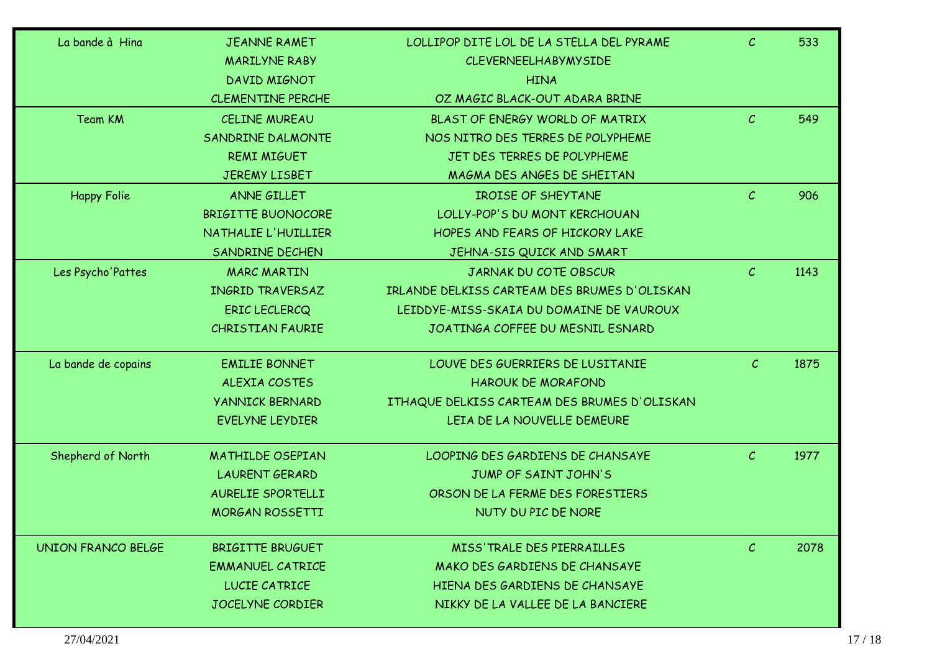| La bande à Hina           | <b>JEANNE RAMET</b>       | LOLLIPOP DITE LOL DE LA STELLA DEL PYRAME    | $\mathcal{C}$ | 533  |
|---------------------------|---------------------------|----------------------------------------------|---------------|------|
|                           | <b>MARILYNE RABY</b>      | <b>CLEVERNEELHABYMYSIDE</b>                  |               |      |
|                           | DAVID MIGNOT              | <b>HINA</b>                                  |               |      |
|                           | <b>CLEMENTINE PERCHE</b>  | OZ MAGIC BLACK-OUT ADARA BRINE               |               |      |
| Team KM                   | <b>CELINE MUREAU</b>      | BLAST OF ENERGY WORLD OF MATRIX              | $\mathcal{C}$ | 549  |
|                           | SANDRINE DALMONTE         | NOS NITRO DES TERRES DE POLYPHEME            |               |      |
|                           | <b>REMI MIGUET</b>        | JET DES TERRES DE POLYPHEME                  |               |      |
|                           | <b>JEREMY LISBET</b>      | MAGMA DES ANGES DE SHEITAN                   |               |      |
| <b>Happy Folie</b>        | ANNE GILLET               | <b>IROISE OF SHEYTANE</b>                    | $\mathcal{C}$ | 906  |
|                           | <b>BRIGITTE BUONOCORE</b> | LOLLY-POP'S DU MONT KERCHOUAN                |               |      |
|                           | NATHALIE L'HUILLIER       | HOPES AND FEARS OF HICKORY LAKE              |               |      |
|                           | SANDRINE DECHEN           | JEHNA-SIS QUICK AND SMART                    |               |      |
| Les Psycho'Pattes         | <b>MARC MARTIN</b>        | JARNAK DU COTE OBSCUR                        | $\mathcal{C}$ | 1143 |
|                           | INGRID TRAVERSAZ          | IRLANDE DELKISS CARTEAM DES BRUMES D'OLISKAN |               |      |
|                           | <b>ERIC LECLERCQ</b>      | LEIDDYE-MISS-SKAIA DU DOMAINE DE VAUROUX     |               |      |
|                           | <b>CHRISTIAN FAURIE</b>   | JOATINGA COFFEE DU MESNIL ESNARD             |               |      |
| La bande de copains       | <b>EMILIE BONNET</b>      | LOUVE DES GUERRIERS DE LUSITANIE             | $\mathcal{C}$ | 1875 |
|                           | ALEXIA COSTES             | <b>HAROUK DE MORAFOND</b>                    |               |      |
|                           | <b>YANNICK BERNARD</b>    | ITHAQUE DELKISS CARTEAM DES BRUMES D'OLISKAN |               |      |
|                           | EVELYNE LEYDIER           | LEIA DE LA NOUVELLE DEMEURE                  |               |      |
| Shepherd of North         | <b>MATHILDE OSEPIAN</b>   | LOOPING DES GARDIENS DE CHANSAYE             | $\mathcal{C}$ | 1977 |
|                           | <b>LAURENT GERARD</b>     | JUMP OF SAINT JOHN'S                         |               |      |
|                           | AURELIE SPORTELLI         | ORSON DE LA FERME DES FORESTIERS             |               |      |
|                           | <b>MORGAN ROSSETTI</b>    | NUTY DU PIC DE NORE                          |               |      |
| <b>UNION FRANCO BELGE</b> | <b>BRIGITTE BRUGUET</b>   | MISS' TRALE DES PIERRAILLES                  | $\mathcal{C}$ | 2078 |
|                           | <b>EMMANUEL CATRICE</b>   | MAKO DES GARDIENS DE CHANSAYE                |               |      |
|                           | LUCIE CATRICE             | HIENA DES GARDIENS DE CHANSAYE               |               |      |
|                           | <b>JOCELYNE CORDIER</b>   | NIKKY DE LA VALLEE DE LA BANCIERE            |               |      |